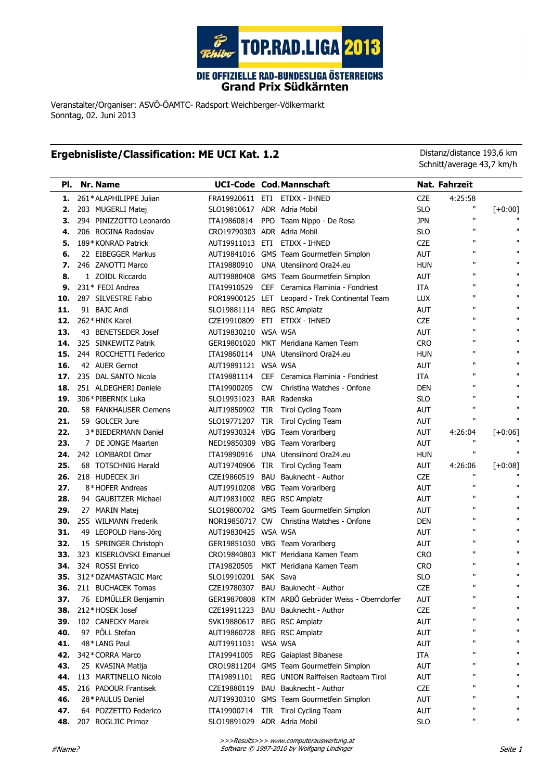

Grand Prix Südkärnten

Veranstalter/Organiser: ASVÖ-ÖAMTC- Radsport Weichberger-Völkermarkt Sonntag, 02. Juni 2013

## Ergebnisliste/Classification: ME UCI Kat. 1.2 Distanz/distance 193,6 km

Schnitt/average 43,7 km/h

| PI. | Nr. Name                |                             |            | <b>UCI-Code Cod. Mannschaft</b>                   |            | Nat. Fahrzeit     |                   |
|-----|-------------------------|-----------------------------|------------|---------------------------------------------------|------------|-------------------|-------------------|
| 1.  | 261*ALAPHILIPPE Julian  |                             |            | FRA19920611 ETI ETIXX - IHNED                     | <b>CZE</b> | 4:25:58           |                   |
| 2.  | 203 MUGERLI Matej       | SLO19810617 ADR Adria Mobil |            |                                                   | <b>SLO</b> | H                 | $[+0:00]$         |
| 3.  | 294 PINIZZOTTO Leonardo | ITA19860814                 |            | PPO Team Nippo - De Rosa                          | <b>JPN</b> | п                 |                   |
| 4.  | 206 ROGINA Radoslav     | CRO19790303 ADR Adria Mobil |            |                                                   | <b>SLO</b> | $\mathbf{H}$      | $\mathbf{u}$      |
| 5.  | 189* KONRAD Patrick     | AUT19911013 ETI             |            | ETIXX - IHNED                                     | <b>CZE</b> | $\mathbf{u}$      | п                 |
| 6.  | 22 EIBEGGER Markus      |                             |            | AUT19841016 GMS Team Gourmetfein Simplon          | <b>AUT</b> | $\mathbf{u}$      | п                 |
| 7.  | 246 ZANOTTI Marco       | ITA19880910                 |            | UNA Utensilnord Ora24.eu                          | <b>HUN</b> | $\mathbf{H}$      | $\mathbf{u}$      |
| 8.  | 1 ZOIDL Riccardo        |                             |            | AUT19880408 GMS Team Gourmetfein Simplon          | <b>AUT</b> | $\mathbf{H}$      | $\mathbf{u}$      |
| 9.  | 231* FEDI Andrea        | ITA19910529                 | <b>CEF</b> | Ceramica Flaminia - Fondriest                     | <b>ITA</b> | $\mathbf{H}$      | п                 |
| 10. | 287 SILVESTRE Fabio     |                             |            | POR19900125 LET Leopard - Trek Continental Team   | LUX        | $\mathbf{H}$      | п                 |
| 11. | 91 BAJC Andi            | SLO19881114                 |            | REG RSC Amplatz                                   | <b>AUT</b> | $\mathbf{H}$      | $\mathbf{u}$      |
| 12. | 262*HNIK Karel          | CZE19910809                 | ETI.       | ETIXX - IHNED                                     | <b>CZE</b> | $\mathbf{H}$      | п                 |
| 13. | 43 BENETSEDER Josef     | AUT19830210                 |            | WSA WSA                                           | <b>AUT</b> | $\mathbf{H}$      | п                 |
| 14. | 325 SINKEWITZ Patrik    |                             |            | GER19801020 MKT Meridiana Kamen Team              | <b>CRO</b> | $\mathbf{H}$      | п                 |
| 15. | 244 ROCCHETTI Federico  | ITA19860114                 |            | UNA Utensilnord Ora24.eu                          | <b>HUN</b> | $\mathbf{H}$      | $\mathbf{u}$      |
| 16. | 42 AUER Gernot          | AUT19891121 WSA WSA         |            |                                                   | <b>AUT</b> | $\mathbf{H}$      | п                 |
| 17. | 235 DAL SANTO Nicola    | ITA19881114                 | <b>CEF</b> | Ceramica Flaminia - Fondriest                     | <b>ITA</b> | $\mathbf{u}$      | п                 |
| 18. | 251 ALDEGHERI Daniele   | ITA19900205                 | <b>CW</b>  | Christina Watches - Onfone                        | <b>DEN</b> | $\mathbf{u}$      | $\mathbf{u}$      |
| 19. | 306* PIBERNIK Luka      | SLO19931023 RAR Radenska    |            |                                                   | <b>SLO</b> | $\mathbf{u}$      | $\mathbf{u}$      |
| 20. | 58 FANKHAUSER Clemens   | AUT19850902 TIR             |            | Tirol Cycling Team                                | <b>AUT</b> | $\mathbf{H}$      | п                 |
| 21. | 59 GOLCER Jure          | SLO19771207 TIR             |            | <b>Tirol Cycling Team</b>                         | AUT        | $\mathbf{u}$      | Ħ                 |
| 22. | 3*BIEDERMANN Daniel     |                             |            | AUT19930324 VBG Team Vorarlberg                   | <b>AUT</b> | 4:26:04           | $[-0:06]$         |
| 23. | 7 DE JONGE Maarten      |                             |            | NED19850309 VBG Team Vorarlberg                   | AUT        | $\mathbf{H}$      |                   |
| 24. | 242 LOMBARDI Omar       | ITA19890916                 |            | UNA Utensilnord Ora24.eu                          | <b>HUN</b> | $\mathbf{u}$      | $\mathbf{u}$      |
| 25. | 68 TOTSCHNIG Harald     | AUT19740906 TIR             |            | Tirol Cycling Team                                | AUT        | 4:26:06           | $[-0:08]$         |
| 26. | 218 HUDECEK Jiri        | CZE19860519                 | BAU        | Bauknecht - Author                                | <b>CZE</b> | $\mathbf{H}$      |                   |
| 27. | 8*HOFER Andreas         |                             |            | AUT19910208 VBG Team Vorarlberg                   | <b>AUT</b> | $\mathbf{u}$      | п                 |
| 28. | 94 GAUBITZER Michael    | AUT19831002 REG RSC Amplatz |            |                                                   | <b>AUT</b> | $\mathbf{u}$      | п                 |
| 29. | 27 MARIN Matej          |                             |            | SLO19800702 GMS Team Gourmetfein Simplon          | AUT        | $\mathbf{H}$      | п                 |
| 30. | 255 WILMANN Frederik    | NOR19850717 CW              |            | Christina Watches - Onfone                        | <b>DEN</b> | $\mathbf{H}$      | $\mathbf{u}$      |
| 31. | 49 LEOPOLD Hans-Jörg    | AUT19830425 WSA WSA         |            |                                                   | <b>AUT</b> | $\mathbf{H}$      | $\mathbf{H}$      |
| 32. | 15 SPRINGER Christoph   |                             |            | GER19851030 VBG Team Vorarlberg                   | <b>AUT</b> | $\mathbf{H}$      | п                 |
| 33. | 323 KISERLOVSKI Emanuel |                             |            | CRO19840803 MKT Meridiana Kamen Team              | <b>CRO</b> | $\mathbf{H}$      | $\mathbf{H}$      |
| 34. | 324 ROSSI Enrico        | ITA19820505                 |            | MKT Meridiana Kamen Team                          | <b>CRO</b> | $\mathbf{H}$      | $\mathbf{H}$      |
| 35. | 312*DZAMASTAGIC Marc    | SLO19910201 SAK Sava        |            |                                                   | <b>SLO</b> | $\mathbf{u}$      | п<br>$\mathbf{u}$ |
| 36. | 211 BUCHACEK Tomas      |                             |            | CZE19780307 BAU Bauknecht - Author                | <b>CZE</b> | $\mathbf{u}$      |                   |
| 37. | 76 EDMÜLLER Benjamin    |                             |            | GER19870808 KTM ARBÖ Gebrüder Weiss - Oberndorfer | AUT        | П<br>$\mathbf{u}$ | Ħ                 |
| 38. | 212*HOSEK Josef         |                             |            | CZE19911223 BAU Bauknecht - Author                | CZE        | П                 |                   |
| 39. | 102 CANECKY Marek       | SVK19880617 REG RSC Amplatz |            |                                                   | AUT        | П                 |                   |
| 40. | 97 PÖLL Stefan          | AUT19860728 REG RSC Amplatz |            |                                                   | AUT        |                   |                   |
| 41. | 48*LANG Paul            | AUT19911031 WSA WSA         |            |                                                   | AUT        | П<br>П            |                   |
| 42. | 342* CORRA Marco        | ITA19941005                 |            | REG Gaiaplast Bibanese                            | ITA        | П                 |                   |
| 43. | 25 KVASINA Matija       |                             |            | CRO19811204 GMS Team Gourmetfein Simplon          | AUT        | П                 |                   |
| 44. | 113 MARTINELLO Nicolo   | ITA19891101                 |            | REG UNION Raiffeisen Radteam Tirol                | AUT        | П                 |                   |
| 45. | 216 PADOUR Frantisek    | CZE19880119                 |            | BAU Bauknecht - Author                            | CZE        | $\mathbf{u}$      |                   |
| 46. | 28* PAULUS Daniel       |                             |            | AUT19930310 GMS Team Gourmetfein Simplon          | AUT        | П                 |                   |
| 47. | 64 POZZETTO Federico    | ITA19900714                 |            | TIR Tirol Cycling Team                            | AUT        | п                 |                   |
| 48. | 207 ROGLJIC Primoz      | SLO19891029 ADR Adria Mobil |            |                                                   | <b>SLO</b> |                   |                   |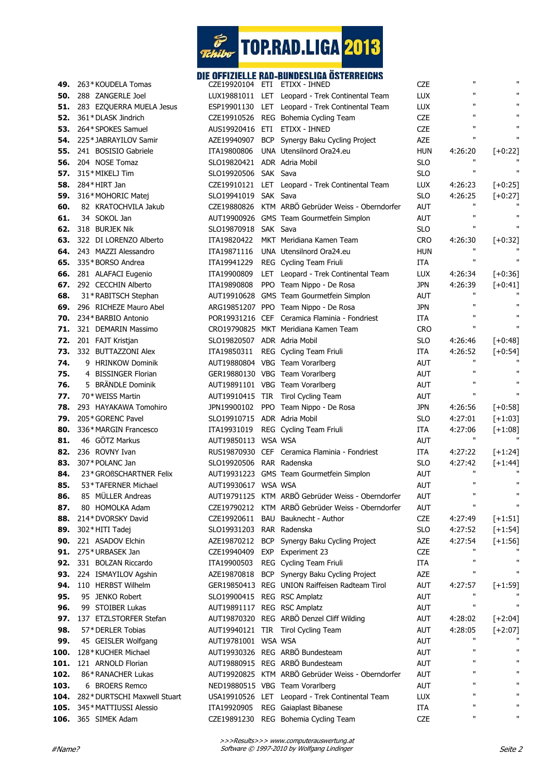

## DIE OFFIZIELLE RAD-BUNDESLIGA ÖSTERREICHS

| 49.  | 263*KOUDELA Tomas            |                             | CZE19920104 ETI ETIXX - IHNED                     | <b>CZE</b> | $\mathbf{H}$            | $\mathbf{H}$ |
|------|------------------------------|-----------------------------|---------------------------------------------------|------------|-------------------------|--------------|
| 50.  | 288 ZANGERLE Joel            |                             | LUX19881011 LET Leopard - Trek Continental Team   | LUX        | $\mathbf{u}$            | $\mathbf{H}$ |
| 51.  | 283 EZQUERRA MUELA Jesus     |                             | ESP19901130 LET Leopard - Trek Continental Team   | LUX        | п                       | $\mathbf{H}$ |
| 52.  | 361*DLASK Jindrich           |                             | CZE19910526 REG Bohemia Cycling Team              | <b>CZE</b> | $\mathbf{u}$            | $\mathbf{H}$ |
| 53.  | 264* SPOKES Samuel           |                             | AUS19920416 ETI ETIXX - IHNED                     | <b>CZE</b> | $\mathbf{H}$            | $\mathbf{u}$ |
| 54.  | 225*JABRAYILOV Samir         |                             | AZE19940907 BCP Synergy Baku Cycling Project      | <b>AZE</b> | $\mathbf{H}$            | $\mathbf{H}$ |
| 55.  | 241 BOSISIO Gabriele         | ITA19800806                 | UNA Utensilnord Ora24.eu                          | <b>HUN</b> | 4:26:20                 | $[-0:22]$    |
| 56.  | 204 NOSE Tomaz               | SLO19820421 ADR Adria Mobil |                                                   | <b>SLO</b> | $\mathbf{H}$            |              |
| 57.  | 315*MIKELJ Tim               | SLO19920506 SAK Sava        |                                                   | <b>SLO</b> | $\mathbf{u}$            | $\mathbf{u}$ |
| 58.  | 284*HIRT Jan                 |                             | CZE19910121 LET Leopard - Trek Continental Team   | LUX        | 4:26:23                 | $[-0:25]$    |
| 59.  | 316*MOHORIC Matej            | SLO19941019 SAK Sava        |                                                   | <b>SLO</b> | 4:26:25                 | $[-0:27]$    |
| 60.  | 82 KRATOCHVILA Jakub         |                             | CZE19880826 KTM ARBÖ Gebrüder Weiss - Oberndorfer | <b>AUT</b> | $\mathbf{H}$            |              |
| 61.  | 34 SOKOL Jan                 |                             | AUT19900926 GMS Team Gourmetfein Simplon          | <b>AUT</b> | $\mathbf{H}$            | $\mathbf{H}$ |
| 62.  | 318 BURJEK Nik               | SLO19870918 SAK Sava        |                                                   | <b>SLO</b> | $\mathbf{H}$            | $\mathbf{H}$ |
| 63.  | 322 DI LORENZO Alberto       |                             | ITA19820422 MKT Meridiana Kamen Team              | <b>CRO</b> | 4:26:30                 | $[-0:32]$    |
| 64.  | 243 MAZZI Alessandro         |                             | ITA19871116 UNA Utensilnord Ora24.eu              | <b>HUN</b> | $\mathbf{H}$            |              |
| 65.  | 335*BORSO Andrea             |                             | ITA19941229 REG Cycling Team Friuli               | ITA        | $\mathbf{u}$            | $\mathbf{u}$ |
| 66.  | 281 ALAFACI Eugenio          |                             | ITA19900809 LET Leopard - Trek Continental Team   | LUX        | 4:26:34                 | $[-0:36]$    |
| 67.  | 292 CECCHIN Alberto          | ITA19890808                 | PPO Team Nippo - De Rosa                          | <b>JPN</b> | 4:26:39                 | $[-0:41]$    |
| 68.  | 31*RABITSCH Stephan          |                             | AUT19910628 GMS Team Gourmetfein Simplon          | AUT        | $\mathbf{H}$            |              |
| 69.  | 296 RICHEZE Mauro Abel       |                             | ARG19851207 PPO Team Nippo - De Rosa              | <b>JPN</b> | $\mathbf{H}$            | $\mathbf{H}$ |
| 70.  | 234* BARBIO Antonio          |                             | POR19931216 CEF Ceramica Flaminia - Fondriest     | <b>ITA</b> | $\mathbf{H}$            | $\mathbf{H}$ |
| 71.  | 321 DEMARIN Massimo          |                             | CRO19790825 MKT Meridiana Kamen Team              | <b>CRO</b> | $\mathbf{H}$            | $\mathbf{H}$ |
|      |                              |                             |                                                   |            |                         |              |
| 72.  | 201 FAJT Kristjan            | SLO19820507 ADR Adria Mobil |                                                   | <b>SLO</b> | 4:26:46                 | $[-10:48]$   |
| 73.  | 332 BUTTAZZONI Alex          |                             | ITA19850311 REG Cycling Team Friuli               | <b>ITA</b> | 4:26:52<br>$\mathbf{u}$ | $[-0:54]$    |
| 74.  | 9 HRINKOW Dominik            |                             | AUT19880804 VBG Team Vorarlberg                   | <b>AUT</b> | $\mathbf{H}$            | $\mathbf{H}$ |
| 75.  | 4 BISSINGER Florian          |                             | GER19880130 VBG Team Vorarlberg                   | AUT        | $\mathbf{H}$            | $\mathbf{H}$ |
| 76.  | 5 BRÄNDLE Dominik            |                             | AUT19891101 VBG Team Vorarlberg                   | <b>AUT</b> | $\mathbf{H}$            | $\mathbf{H}$ |
| 77.  | 70* WEISS Martin             |                             | AUT19910415 TIR Tirol Cycling Team                | AUT        |                         |              |
| 78.  | 293 HAYAKAWA Tomohiro        |                             | JPN19900102 PPO Team Nippo - De Rosa              | jpn        | 4:26:56                 | $[-0:58]$    |
| 79.  | 205*GORENC Pavel             | SLO19910715 ADR Adria Mobil |                                                   | <b>SLO</b> | 4:27:01                 | $[+1:03]$    |
| 80.  | 336*MARGIN Francesco         |                             | ITA19931019 REG Cycling Team Friuli               | ITA        | 4:27:06                 | $[+1:08]$    |
| 81.  | 46 GÖTZ Markus               | AUT19850113 WSA WSA         |                                                   | AUT        | $\mathbf{u}$            |              |
| 82.  | 236 ROVNY Ivan               |                             | RUS19870930 CEF Ceramica Flaminia - Fondriest     | ITA        | 4:27:22                 | $[+1:24]$    |
| 83.  | 307* POLANC Jan              | SLO19920506 RAR Radenska    |                                                   | <b>SLO</b> | 4:27:42                 | $[+1:44]$    |
| 84.  | 23* GROßSCHARTNER Felix      |                             | AUT19931223 GMS Team Gourmetfein Simplon          | AUT        | $\mathbf{H}$            |              |
| 85.  | 53*TAFERNER Michael          | AUT19930617 WSA WSA         |                                                   | <b>AUT</b> | $\mathbf{H}$            | п            |
| 86.  | 85 MÜLLER Andreas            |                             | AUT19791125 KTM ARBÖ Gebrüder Weiss - Oberndorfer | AUT        | $\mathbf{u}$            |              |
| 87.  | 80 HOMOLKA Adam              |                             | CZE19790212 KTM ARBÖ Gebrüder Weiss - Oberndorfer | <b>AUT</b> | $\mathbf{H}$            | $\mathbf{u}$ |
| 88.  | 214* DVORSKY David           |                             | CZE19920611 BAU Bauknecht - Author                | <b>CZE</b> | 4:27:49                 | $[+1:51]$    |
| 89.  | 302*HITI Tadej               | SLO19931203 RAR Radenska    |                                                   | <b>SLO</b> | 4:27:52                 | $[-1:54]$    |
| 90.  | 221 ASADOV Elchin            |                             | AZE19870212 BCP Synergy Baku Cycling Project      | AZE        | 4:27:54                 | $[+1:56]$    |
| 91.  | 275* URBASEK Jan             |                             | CZE19940409 EXP Experiment 23                     | CZE        | $\mathbf{H}$            |              |
| 92.  | 331 BOLZAN Riccardo          |                             | ITA19900503 REG Cycling Team Friuli               | ITA        | $\mathbf{H}$            | $\mathbf{H}$ |
| 93.  | 224 ISMAYILOV Agshin         |                             | AZE19870818 BCP Synergy Baku Cycling Project      | AZE        | п                       | п            |
| 94.  | 110 HERBST Wilhelm           |                             | GER19850413 REG UNION Raiffeisen Radteam Tirol    | <b>AUT</b> | 4:27:57                 | $[-1:59]$    |
| 95.  | 95 JENKO Robert              | SLO19900415 REG RSC Amplatz |                                                   | <b>AUT</b> | $\mathbf{H}$            |              |
| 96.  | 99 STOIBER Lukas             | AUT19891117 REG RSC Amplatz |                                                   | <b>AUT</b> | $\mathbf{H}$            | $\mathbf{H}$ |
| 97.  | 137 ETZLSTORFER Stefan       |                             | AUT19870320 REG ARBÖ Denzel Cliff Wilding         | AUT        | 4:28:02                 | $[+2:04]$    |
| 98.  | 57*DERLER Tobias             |                             | AUT19940121 TIR Tirol Cycling Team                | <b>AUT</b> | 4:28:05                 | $[+2:07]$    |
| 99.  | 45 GEISLER Wolfgang          | AUT19781001 WSA WSA         |                                                   | <b>AUT</b> | $\mathbf{H}$            |              |
| 100. | 128*KUCHER Michael           |                             | AUT19930326 REG ARBÖ Bundesteam                   | <b>AUT</b> | $\mathbf{u}$            | $\mathbf{H}$ |
| 101. | 121 ARNOLD Florian           |                             | AUT19880915 REG ARBÖ Bundesteam                   | <b>AUT</b> | $\mathbf{u}$            | п            |
| 102. | 86*RANACHER Lukas            |                             | AUT19920825 KTM ARBÖ Gebrüder Weiss - Oberndorfer | <b>AUT</b> | $\mathbf{u}$            | П.           |
| 103. | 6 BROERS Remco               |                             | NED19880515 VBG Team Vorarlberg                   | <b>AUT</b> | $\mathbf{u}$            | п            |
| 104. | 282* DURTSCHI Maxwell Stuart |                             | USA19910526 LET Leopard - Trek Continental Team   | <b>LUX</b> | $\mathbf{u}$            | п            |
| 105. | 345* MATTIUSSI Alessio       |                             | ITA19920905 REG Gaiaplast Bibanese                | ITA        | $\mathbf{u}$            | п            |
| 106. | 365 SIMEK Adam               |                             | CZE19891230 REG Bohemia Cycling Team              | <b>CZE</b> | $\mathbf{u}$            | п            |
|      |                              |                             |                                                   |            |                         |              |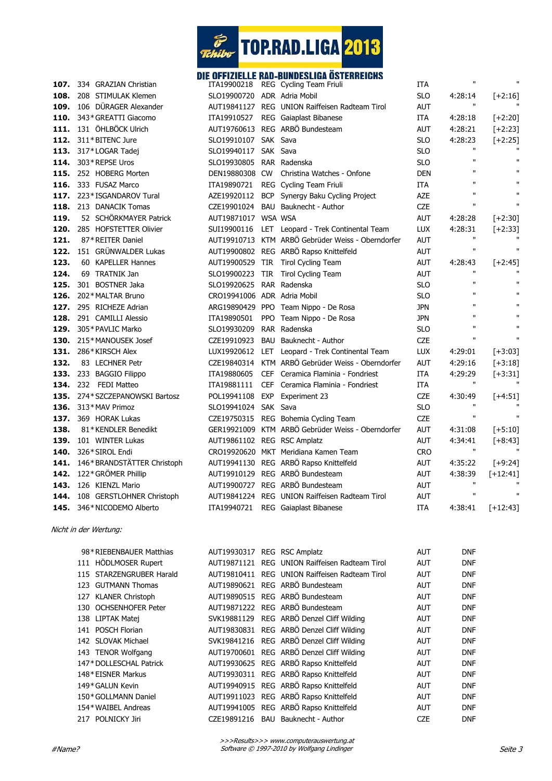

## DIE OFFIZIELLE RAD-BUNDESLIGA ÖSTERREICHS

| 334 GRAZIAN Christian     | ITA19900218                                                                                                                                                                                                                                                                                                  |                                                                             | ITA                                                                                                                                                                                                                                                                                                                                                                                                                                                                                                                                                                                                                                                                                                                                                                                                                                                                                                                                                                                                                                                                                                                                                                                                                                                                                                                                                                                                | п                                                                                                                                 | $\mathbf{u}$                                                                                                                                  |
|---------------------------|--------------------------------------------------------------------------------------------------------------------------------------------------------------------------------------------------------------------------------------------------------------------------------------------------------------|-----------------------------------------------------------------------------|----------------------------------------------------------------------------------------------------------------------------------------------------------------------------------------------------------------------------------------------------------------------------------------------------------------------------------------------------------------------------------------------------------------------------------------------------------------------------------------------------------------------------------------------------------------------------------------------------------------------------------------------------------------------------------------------------------------------------------------------------------------------------------------------------------------------------------------------------------------------------------------------------------------------------------------------------------------------------------------------------------------------------------------------------------------------------------------------------------------------------------------------------------------------------------------------------------------------------------------------------------------------------------------------------------------------------------------------------------------------------------------------------|-----------------------------------------------------------------------------------------------------------------------------------|-----------------------------------------------------------------------------------------------------------------------------------------------|
| 208 STIMULAK Klemen       |                                                                                                                                                                                                                                                                                                              |                                                                             | <b>SLO</b>                                                                                                                                                                                                                                                                                                                                                                                                                                                                                                                                                                                                                                                                                                                                                                                                                                                                                                                                                                                                                                                                                                                                                                                                                                                                                                                                                                                         | 4:28:14                                                                                                                           | $[+2:16]$                                                                                                                                     |
| 106 DÜRAGER Alexander     |                                                                                                                                                                                                                                                                                                              |                                                                             | <b>AUT</b>                                                                                                                                                                                                                                                                                                                                                                                                                                                                                                                                                                                                                                                                                                                                                                                                                                                                                                                                                                                                                                                                                                                                                                                                                                                                                                                                                                                         | $\mathbf{H}$                                                                                                                      |                                                                                                                                               |
| 343* GREATTI Giacomo      | ITA19910527                                                                                                                                                                                                                                                                                                  |                                                                             | <b>ITA</b>                                                                                                                                                                                                                                                                                                                                                                                                                                                                                                                                                                                                                                                                                                                                                                                                                                                                                                                                                                                                                                                                                                                                                                                                                                                                                                                                                                                         | 4:28:18                                                                                                                           | $[+2:20]$                                                                                                                                     |
| 131 ÖHLBÖCK Ulrich        |                                                                                                                                                                                                                                                                                                              |                                                                             | <b>AUT</b>                                                                                                                                                                                                                                                                                                                                                                                                                                                                                                                                                                                                                                                                                                                                                                                                                                                                                                                                                                                                                                                                                                                                                                                                                                                                                                                                                                                         | 4:28:21                                                                                                                           | $[+2:23]$                                                                                                                                     |
| 311*BITENC Jure           |                                                                                                                                                                                                                                                                                                              |                                                                             | <b>SLO</b>                                                                                                                                                                                                                                                                                                                                                                                                                                                                                                                                                                                                                                                                                                                                                                                                                                                                                                                                                                                                                                                                                                                                                                                                                                                                                                                                                                                         | 4:28:23                                                                                                                           | $[+2:25]$                                                                                                                                     |
| 317*LOGAR Tadej           |                                                                                                                                                                                                                                                                                                              |                                                                             | <b>SLO</b>                                                                                                                                                                                                                                                                                                                                                                                                                                                                                                                                                                                                                                                                                                                                                                                                                                                                                                                                                                                                                                                                                                                                                                                                                                                                                                                                                                                         | $\mathbf{H}$                                                                                                                      |                                                                                                                                               |
| 303*REPSE Uros            |                                                                                                                                                                                                                                                                                                              |                                                                             | <b>SLO</b>                                                                                                                                                                                                                                                                                                                                                                                                                                                                                                                                                                                                                                                                                                                                                                                                                                                                                                                                                                                                                                                                                                                                                                                                                                                                                                                                                                                         | $\mathbf{u}$                                                                                                                      | $\mathbf{H}$                                                                                                                                  |
| 252 HOBERG Morten         |                                                                                                                                                                                                                                                                                                              |                                                                             | <b>DEN</b>                                                                                                                                                                                                                                                                                                                                                                                                                                                                                                                                                                                                                                                                                                                                                                                                                                                                                                                                                                                                                                                                                                                                                                                                                                                                                                                                                                                         | $\mathbf{u}$                                                                                                                      | $\mathbf{u}$                                                                                                                                  |
| 333 FUSAZ Marco           |                                                                                                                                                                                                                                                                                                              |                                                                             | <b>ITA</b>                                                                                                                                                                                                                                                                                                                                                                                                                                                                                                                                                                                                                                                                                                                                                                                                                                                                                                                                                                                                                                                                                                                                                                                                                                                                                                                                                                                         | $\mathbf{H}$                                                                                                                      | $\mathbf{H}$                                                                                                                                  |
| 223* ISGANDAROV Tural     |                                                                                                                                                                                                                                                                                                              |                                                                             | AZE                                                                                                                                                                                                                                                                                                                                                                                                                                                                                                                                                                                                                                                                                                                                                                                                                                                                                                                                                                                                                                                                                                                                                                                                                                                                                                                                                                                                | $\mathbf{H}$                                                                                                                      | $\mathbf{H}$                                                                                                                                  |
| 213 DANACIK Tomas         |                                                                                                                                                                                                                                                                                                              |                                                                             | <b>CZE</b>                                                                                                                                                                                                                                                                                                                                                                                                                                                                                                                                                                                                                                                                                                                                                                                                                                                                                                                                                                                                                                                                                                                                                                                                                                                                                                                                                                                         | $\mathbf{u}$                                                                                                                      | $\mathbf{u}$                                                                                                                                  |
| 52 SCHÖRKMAYER Patrick    |                                                                                                                                                                                                                                                                                                              |                                                                             | AUT                                                                                                                                                                                                                                                                                                                                                                                                                                                                                                                                                                                                                                                                                                                                                                                                                                                                                                                                                                                                                                                                                                                                                                                                                                                                                                                                                                                                | 4:28:28                                                                                                                           | $[+2:30]$                                                                                                                                     |
| 285 HOFSTETTER Olivier    |                                                                                                                                                                                                                                                                                                              |                                                                             | <b>LUX</b>                                                                                                                                                                                                                                                                                                                                                                                                                                                                                                                                                                                                                                                                                                                                                                                                                                                                                                                                                                                                                                                                                                                                                                                                                                                                                                                                                                                         | 4:28:31                                                                                                                           | $[-2:33]$                                                                                                                                     |
| 87*REITER Daniel          |                                                                                                                                                                                                                                                                                                              |                                                                             | AUT                                                                                                                                                                                                                                                                                                                                                                                                                                                                                                                                                                                                                                                                                                                                                                                                                                                                                                                                                                                                                                                                                                                                                                                                                                                                                                                                                                                                | $\mathbf{H}$                                                                                                                      |                                                                                                                                               |
| 151 GRÜNWALDER Lukas      |                                                                                                                                                                                                                                                                                                              |                                                                             | AUT                                                                                                                                                                                                                                                                                                                                                                                                                                                                                                                                                                                                                                                                                                                                                                                                                                                                                                                                                                                                                                                                                                                                                                                                                                                                                                                                                                                                | $\mathbf{H}$                                                                                                                      | $\mathbf{u}$                                                                                                                                  |
| 60 KAPELLER Hannes        |                                                                                                                                                                                                                                                                                                              | Tirol Cycling Team                                                          | AUT                                                                                                                                                                                                                                                                                                                                                                                                                                                                                                                                                                                                                                                                                                                                                                                                                                                                                                                                                                                                                                                                                                                                                                                                                                                                                                                                                                                                | 4:28:43                                                                                                                           | $[+2:45]$                                                                                                                                     |
| 69 TRATNIK Jan            |                                                                                                                                                                                                                                                                                                              | Tirol Cycling Team                                                          | <b>AUT</b>                                                                                                                                                                                                                                                                                                                                                                                                                                                                                                                                                                                                                                                                                                                                                                                                                                                                                                                                                                                                                                                                                                                                                                                                                                                                                                                                                                                         | $\mathbf{u}$                                                                                                                      |                                                                                                                                               |
| 301 BOSTNER Jaka          |                                                                                                                                                                                                                                                                                                              |                                                                             | <b>SLO</b>                                                                                                                                                                                                                                                                                                                                                                                                                                                                                                                                                                                                                                                                                                                                                                                                                                                                                                                                                                                                                                                                                                                                                                                                                                                                                                                                                                                         | $\mathbf{u}$                                                                                                                      | $\mathbf{u}$                                                                                                                                  |
| 202* MALTAR Bruno         |                                                                                                                                                                                                                                                                                                              |                                                                             | <b>SLO</b>                                                                                                                                                                                                                                                                                                                                                                                                                                                                                                                                                                                                                                                                                                                                                                                                                                                                                                                                                                                                                                                                                                                                                                                                                                                                                                                                                                                         | $\mathbf{u}$                                                                                                                      | $\mathbf{H}$                                                                                                                                  |
|                           |                                                                                                                                                                                                                                                                                                              |                                                                             | <b>JPN</b>                                                                                                                                                                                                                                                                                                                                                                                                                                                                                                                                                                                                                                                                                                                                                                                                                                                                                                                                                                                                                                                                                                                                                                                                                                                                                                                                                                                         | $\mathbf{u}$                                                                                                                      | $\mathbf{H}$                                                                                                                                  |
| 291 CAMILLI Alessio       |                                                                                                                                                                                                                                                                                                              |                                                                             | <b>JPN</b>                                                                                                                                                                                                                                                                                                                                                                                                                                                                                                                                                                                                                                                                                                                                                                                                                                                                                                                                                                                                                                                                                                                                                                                                                                                                                                                                                                                         | $\mathbf{u}$                                                                                                                      | $\mathbf{H}$                                                                                                                                  |
| 305* PAVLIC Marko         |                                                                                                                                                                                                                                                                                                              |                                                                             | <b>SLO</b>                                                                                                                                                                                                                                                                                                                                                                                                                                                                                                                                                                                                                                                                                                                                                                                                                                                                                                                                                                                                                                                                                                                                                                                                                                                                                                                                                                                         |                                                                                                                                   | $\mathbf{H}$                                                                                                                                  |
| 215*MANOUSEK Josef        |                                                                                                                                                                                                                                                                                                              |                                                                             | <b>CZE</b>                                                                                                                                                                                                                                                                                                                                                                                                                                                                                                                                                                                                                                                                                                                                                                                                                                                                                                                                                                                                                                                                                                                                                                                                                                                                                                                                                                                         | $\mathbf{u}$                                                                                                                      | $\mathbf{H}$                                                                                                                                  |
| 286*KIRSCH Alex           |                                                                                                                                                                                                                                                                                                              |                                                                             |                                                                                                                                                                                                                                                                                                                                                                                                                                                                                                                                                                                                                                                                                                                                                                                                                                                                                                                                                                                                                                                                                                                                                                                                                                                                                                                                                                                                    | 4:29:01                                                                                                                           | $[+3:03]$                                                                                                                                     |
| 83 LECHNER Petr           |                                                                                                                                                                                                                                                                                                              |                                                                             | <b>AUT</b>                                                                                                                                                                                                                                                                                                                                                                                                                                                                                                                                                                                                                                                                                                                                                                                                                                                                                                                                                                                                                                                                                                                                                                                                                                                                                                                                                                                         | 4:29:16                                                                                                                           | $[+3:18]$                                                                                                                                     |
| 233 BAGGIO Filippo        | ITA19880605                                                                                                                                                                                                                                                                                                  |                                                                             | <b>ITA</b>                                                                                                                                                                                                                                                                                                                                                                                                                                                                                                                                                                                                                                                                                                                                                                                                                                                                                                                                                                                                                                                                                                                                                                                                                                                                                                                                                                                         | 4:29:29                                                                                                                           | $[-3:31]$                                                                                                                                     |
|                           | ITA19881111                                                                                                                                                                                                                                                                                                  |                                                                             |                                                                                                                                                                                                                                                                                                                                                                                                                                                                                                                                                                                                                                                                                                                                                                                                                                                                                                                                                                                                                                                                                                                                                                                                                                                                                                                                                                                                    |                                                                                                                                   |                                                                                                                                               |
|                           |                                                                                                                                                                                                                                                                                                              |                                                                             |                                                                                                                                                                                                                                                                                                                                                                                                                                                                                                                                                                                                                                                                                                                                                                                                                                                                                                                                                                                                                                                                                                                                                                                                                                                                                                                                                                                                    | 4:30:49                                                                                                                           | $[+4:51]$                                                                                                                                     |
|                           |                                                                                                                                                                                                                                                                                                              |                                                                             |                                                                                                                                                                                                                                                                                                                                                                                                                                                                                                                                                                                                                                                                                                                                                                                                                                                                                                                                                                                                                                                                                                                                                                                                                                                                                                                                                                                                    |                                                                                                                                   |                                                                                                                                               |
|                           |                                                                                                                                                                                                                                                                                                              |                                                                             |                                                                                                                                                                                                                                                                                                                                                                                                                                                                                                                                                                                                                                                                                                                                                                                                                                                                                                                                                                                                                                                                                                                                                                                                                                                                                                                                                                                                    |                                                                                                                                   | $\mathbf{H}$                                                                                                                                  |
| 81*KENDLER Benedikt       |                                                                                                                                                                                                                                                                                                              |                                                                             |                                                                                                                                                                                                                                                                                                                                                                                                                                                                                                                                                                                                                                                                                                                                                                                                                                                                                                                                                                                                                                                                                                                                                                                                                                                                                                                                                                                                    |                                                                                                                                   | $[-5:10]$                                                                                                                                     |
|                           |                                                                                                                                                                                                                                                                                                              |                                                                             |                                                                                                                                                                                                                                                                                                                                                                                                                                                                                                                                                                                                                                                                                                                                                                                                                                                                                                                                                                                                                                                                                                                                                                                                                                                                                                                                                                                                    |                                                                                                                                   | $[+8:43]$                                                                                                                                     |
|                           |                                                                                                                                                                                                                                                                                                              |                                                                             |                                                                                                                                                                                                                                                                                                                                                                                                                                                                                                                                                                                                                                                                                                                                                                                                                                                                                                                                                                                                                                                                                                                                                                                                                                                                                                                                                                                                    |                                                                                                                                   |                                                                                                                                               |
|                           |                                                                                                                                                                                                                                                                                                              |                                                                             |                                                                                                                                                                                                                                                                                                                                                                                                                                                                                                                                                                                                                                                                                                                                                                                                                                                                                                                                                                                                                                                                                                                                                                                                                                                                                                                                                                                                    | 4:35:22                                                                                                                           | $[+9:24]$                                                                                                                                     |
|                           |                                                                                                                                                                                                                                                                                                              |                                                                             |                                                                                                                                                                                                                                                                                                                                                                                                                                                                                                                                                                                                                                                                                                                                                                                                                                                                                                                                                                                                                                                                                                                                                                                                                                                                                                                                                                                                    |                                                                                                                                   | $[-12:41]$                                                                                                                                    |
| 126 KIENZL Mario          |                                                                                                                                                                                                                                                                                                              |                                                                             | <b>AUT</b>                                                                                                                                                                                                                                                                                                                                                                                                                                                                                                                                                                                                                                                                                                                                                                                                                                                                                                                                                                                                                                                                                                                                                                                                                                                                                                                                                                                         |                                                                                                                                   |                                                                                                                                               |
| 108 GERSTLOHNER Christoph |                                                                                                                                                                                                                                                                                                              |                                                                             |                                                                                                                                                                                                                                                                                                                                                                                                                                                                                                                                                                                                                                                                                                                                                                                                                                                                                                                                                                                                                                                                                                                                                                                                                                                                                                                                                                                                    |                                                                                                                                   | $\mathbf{H}$                                                                                                                                  |
| 346*NICODEMO Alberto      | ITA19940721                                                                                                                                                                                                                                                                                                  |                                                                             | <b>ITA</b>                                                                                                                                                                                                                                                                                                                                                                                                                                                                                                                                                                                                                                                                                                                                                                                                                                                                                                                                                                                                                                                                                                                                                                                                                                                                                                                                                                                         | 4:38:41                                                                                                                           | $[+12:43]$                                                                                                                                    |
|                           | 108.<br>110.<br>112.<br>113.<br>115.<br>118.<br>120.<br>127.<br>295 RICHEZE Adrian<br>128.<br>133.<br>232 FEDI Matteo<br>134.<br>274* SZCZEPANOWSKI Bartosz<br>135.<br>313*MAV Primoz<br>369 HORAK Lukas<br>101 WINTER Lukas<br>326*SIROL Endi<br>146* BRANDSTÄTTER Christoph<br>122* GRÖMER Phillip<br>145. | AZE19920112<br>CZE19901024<br>SLO19900223 TIR<br>CZE19910923<br>SLO19941024 | REG Cycling Team Friuli<br>SLO19900720 ADR Adria Mobil<br>AUT19841127 REG UNION Raiffeisen Radteam Tirol<br>REG Gaiaplast Bibanese<br>AUT19760613 REG ARBÖ Bundesteam<br>SLO19910107 SAK Sava<br>SLO19940117 SAK Sava<br>SLO19930805 RAR Radenska<br>DEN19880308 CW Christina Watches - Onfone<br>ITA19890721 REG Cycling Team Friuli<br>BCP Synergy Baku Cycling Project<br>BAU Bauknecht - Author<br>AUT19871017 WSA WSA<br>SUI19900116 LET Leopard - Trek Continental Team<br>AUT19910713 KTM ARBÖ Gebrüder Weiss - Oberndorfer<br>AUT19900802 REG ARBÖ Rapso Knittelfeld<br>AUT19900529 TIR<br>SLO19920625 RAR Radenska<br>CRO19941006 ADR Adria Mobil<br>ARG19890429 PPO Team Nippo - De Rosa<br>ITA19890501 PPO Team Nippo - De Rosa<br>SLO19930209 RAR Radenska<br>BAU Bauknecht - Author<br>LUX19920612 LET Leopard - Trek Continental Team<br>CZE19840314 KTM ARBÖ Gebrüder Weiss - Oberndorfer<br>CEF Ceramica Flaminia - Fondriest<br>CEF Ceramica Flaminia - Fondriest<br>POL19941108 EXP<br>Experiment 23<br>SAK Sava<br>CZE19750315 REG Bohemia Cycling Team<br>GER19921009 KTM ARBÖ Gebrüder Weiss - Oberndorfer<br>AUT19861102 REG RSC Amplatz<br>CRO19920620 MKT Meridiana Kamen Team<br>AUT19941130 REG ARBÖ Rapso Knittelfeld<br>AUT19910129 REG ARBÖ Bundesteam<br>AUT19900727 REG ARBÖ Bundesteam<br>AUT19841224 REG UNION Raiffeisen Radteam Tirol<br>REG Gaiaplast Bibanese | LUX<br><b>ITA</b><br><b>CZE</b><br><b>SLO</b><br><b>CZE</b><br><b>AUT</b><br><b>AUT</b><br><b>CRO</b><br>AUT<br><b>AUT</b><br>AUT | $\mathbf{H}$<br>$\mathbf{H}$<br>$\mathbf{u}$<br>$\mathbf{u}$<br>4:31:08<br>4:34:41<br>$\mathbf{u}$<br>4:38:39<br>$\mathbf{u}$<br>$\mathbf{H}$ |

Nicht in der Wertung:

| 98*RIEBENBAUER Matthias  | AUT19930317 REG RSC Amplatz |                                                | <b>AUT</b> | <b>DNF</b> |
|--------------------------|-----------------------------|------------------------------------------------|------------|------------|
| 111 HÖDLMOSER Rupert     |                             | AUT19871121 REG UNION Raiffeisen Radteam Tirol | <b>AUT</b> | <b>DNF</b> |
| 115 STARZENGRUBER Harald |                             | AUT19810411 REG UNION Raiffeisen Radteam Tirol | <b>AUT</b> | <b>DNF</b> |
| 123 GUTMANN Thomas       |                             | AUT19890621 REG ARBÖ Bundesteam                | <b>AUT</b> | <b>DNF</b> |
| 127 KLANER Christoph     |                             | AUT19890515 REG ARBÖ Bundesteam                | <b>AUT</b> | <b>DNF</b> |
| 130 OCHSENHOFER Peter    |                             | AUT19871222 REG ARBÖ Bundesteam                | <b>AUT</b> | <b>DNF</b> |
| 138 LIPTAK Matej         |                             | SVK19881129 REG ARBÖ Denzel Cliff Wilding      | <b>AUT</b> | <b>DNF</b> |
| 141 POSCH Florian        |                             | AUT19830831 REG ARBÖ Denzel Cliff Wilding      | <b>AUT</b> | <b>DNF</b> |
| 142 SLOVAK Michael       |                             | SVK19841216 REG ARBÖ Denzel Cliff Wilding      | <b>AUT</b> | <b>DNF</b> |
| 143 TENOR Wolfgang       |                             | AUT19700601 REG ARBÖ Denzel Cliff Wilding      | <b>AUT</b> | <b>DNF</b> |
| 147*DOLLESCHAL Patrick   |                             | AUT19930625 REG ARBÖ Rapso Knittelfeld         | <b>AUT</b> | <b>DNF</b> |
| 148*EISNER Markus        |                             | AUT19930311 REG ARBÖ Rapso Knittelfeld         | <b>AUT</b> | <b>DNF</b> |
| 149* GALUN Kevin         |                             | AUT19940915 REG ARBÖ Rapso Knittelfeld         | <b>AUT</b> | <b>DNF</b> |
| 150* GOLLMANN Daniel     |                             | AUT19911023 REG ARBÖ Rapso Knittelfeld         | <b>AUT</b> | <b>DNF</b> |
| 154* WAIBEL Andreas      |                             | AUT19941005 REG ARBÖ Rapso Knittelfeld         | <b>AUT</b> | <b>DNF</b> |
| 217 POLNICKY Jiri        |                             | CZE19891216 BAU Bauknecht - Author             | <b>CZE</b> | <b>DNF</b> |
|                          |                             |                                                |            |            |